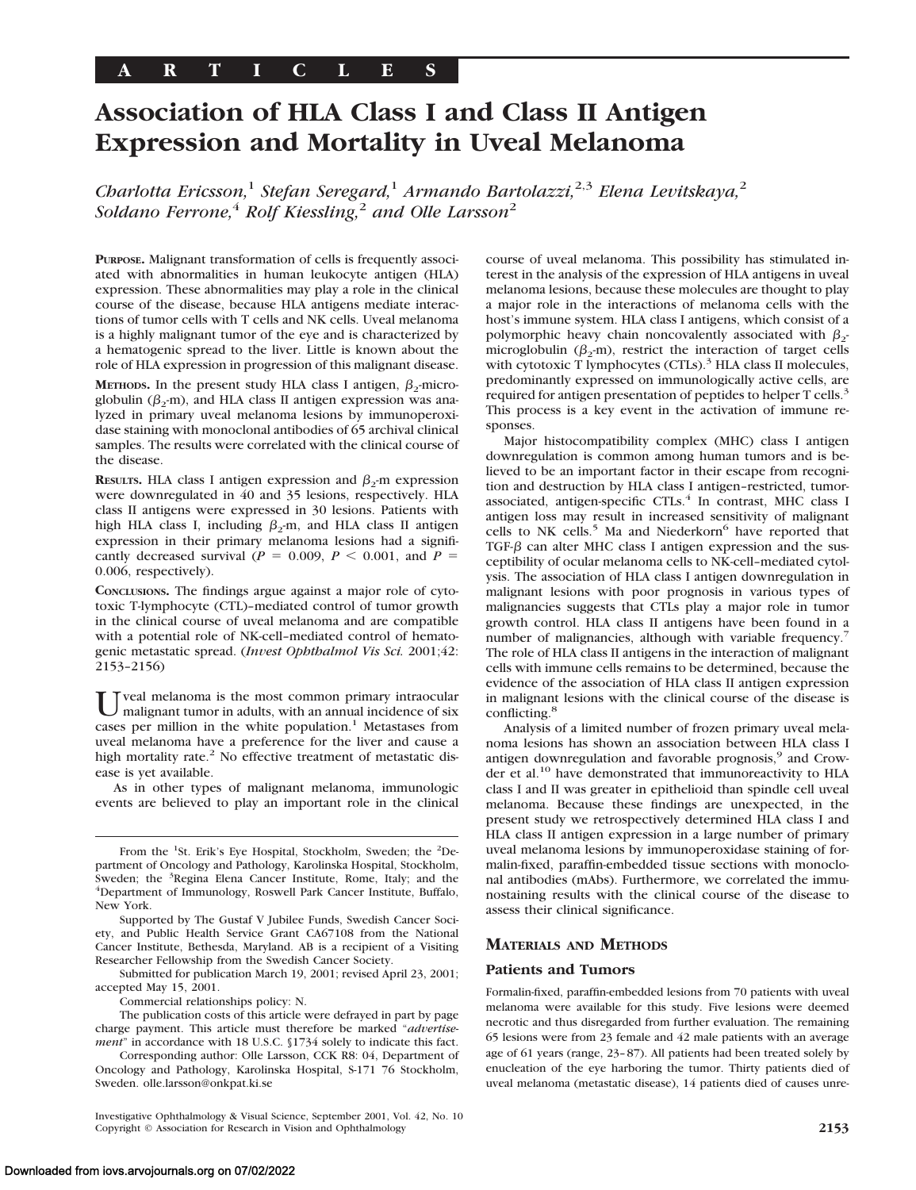# **Association of HLA Class I and Class II Antigen Expression and Mortality in Uveal Melanoma**

*Charlotta Ericsson,*<sup>1</sup> *Stefan Seregard,*<sup>1</sup> *Armando Bartolazzi,*2,3 *Elena Levitskaya,*<sup>2</sup> *Soldano Ferrone,*<sup>4</sup> *Rolf Kiessling,*<sup>2</sup> *and Olle Larsson*<sup>2</sup>

**PURPOSE.** Malignant transformation of cells is frequently associated with abnormalities in human leukocyte antigen (HLA) expression. These abnormalities may play a role in the clinical course of the disease, because HLA antigens mediate interactions of tumor cells with T cells and NK cells. Uveal melanoma is a highly malignant tumor of the eye and is characterized by a hematogenic spread to the liver. Little is known about the role of HLA expression in progression of this malignant disease.

**METHODS.** In the present study HLA class I antigen,  $\beta_2$ -microglobulin ( $\beta_2$ -m), and HLA class II antigen expression was analyzed in primary uveal melanoma lesions by immunoperoxidase staining with monoclonal antibodies of 65 archival clinical samples. The results were correlated with the clinical course of the disease.

**RESULTS.** HLA class I antigen expression and  $\beta_2$ -m expression were downregulated in 40 and 35 lesions, respectively. HLA class II antigens were expressed in 30 lesions. Patients with high HLA class I, including  $\beta_2$ -m, and HLA class II antigen expression in their primary melanoma lesions had a significantly decreased survival ( $P = 0.009$ ,  $P < 0.001$ , and  $P =$ 0.006, respectively).

**CONCLUSIONS.** The findings argue against a major role of cytotoxic T-lymphocyte (CTL)–mediated control of tumor growth in the clinical course of uveal melanoma and are compatible with a potential role of NK-cell–mediated control of hematogenic metastatic spread. (*Invest Ophthalmol Vis Sci.* 2001;42: 2153–2156)

Tveal melanoma is the most common primary intraocular malignant tumor in adults, with an annual incidence of six cases per million in the white population.<sup>1</sup> Metastases from uveal melanoma have a preference for the liver and cause a high mortality rate. $2$  No effective treatment of metastatic disease is yet available.

As in other types of malignant melanoma, immunologic events are believed to play an important role in the clinical

Submitted for publication March 19, 2001; revised April 23, 2001; accepted May 15, 2001.

Commercial relationships policy: N.

The publication costs of this article were defrayed in part by page charge payment. This article must therefore be marked "*advertisement*" in accordance with 18 U.S.C. §1734 solely to indicate this fact.

Corresponding author: Olle Larsson, CCK R8: 04, Department of Oncology and Pathology, Karolinska Hospital, S-171 76 Stockholm, Sweden. olle.larsson@onkpat.ki.se

Investigative Ophthalmology & Visual Science, September 2001, Vol. 42, No. 10 Copyright © Association for Research in Vision and Ophthalmology **2153**

course of uveal melanoma. This possibility has stimulated interest in the analysis of the expression of HLA antigens in uveal melanoma lesions, because these molecules are thought to play a major role in the interactions of melanoma cells with the host's immune system. HLA class I antigens, which consist of a polymorphic heavy chain noncovalently associated with  $\beta$ microglobulin ( $\beta_2$ -m), restrict the interaction of target cells with cytotoxic T lymphocytes  $(CTIs).$ <sup>3</sup> HLA class II molecules, predominantly expressed on immunologically active cells, are required for antigen presentation of peptides to helper T cells.<sup>3</sup> This process is a key event in the activation of immune responses.

Major histocompatibility complex (MHC) class I antigen downregulation is common among human tumors and is believed to be an important factor in their escape from recognition and destruction by HLA class I antigen–restricted, tumorassociated, antigen-specific CTLs.<sup>4</sup> In contrast, MHC class I antigen loss may result in increased sensitivity of malignant cells to NK cells.<sup>5</sup> Ma and Niederkorn<sup>6</sup> have reported that TGF- $\beta$  can alter MHC class I antigen expression and the susceptibility of ocular melanoma cells to NK-cell–mediated cytolysis. The association of HLA class I antigen downregulation in malignant lesions with poor prognosis in various types of malignancies suggests that CTLs play a major role in tumor growth control. HLA class II antigens have been found in a number of malignancies, although with variable frequency.<sup>7</sup> The role of HLA class II antigens in the interaction of malignant cells with immune cells remains to be determined, because the evidence of the association of HLA class II antigen expression in malignant lesions with the clinical course of the disease is conflicting.<sup>8</sup>

Analysis of a limited number of frozen primary uveal melanoma lesions has shown an association between HLA class I antigen downregulation and favorable prognosis,<sup>9</sup> and Crowder et al.<sup>10</sup> have demonstrated that immunoreactivity to HLA class I and II was greater in epithelioid than spindle cell uveal melanoma. Because these findings are unexpected, in the present study we retrospectively determined HLA class I and HLA class II antigen expression in a large number of primary uveal melanoma lesions by immunoperoxidase staining of formalin-fixed, paraffin-embedded tissue sections with monoclonal antibodies (mAbs). Furthermore, we correlated the immunostaining results with the clinical course of the disease to assess their clinical significance.

## **MATERIALS AND METHODS**

#### **Patients and Tumors**

Formalin-fixed, paraffin-embedded lesions from 70 patients with uveal melanoma were available for this study. Five lesions were deemed necrotic and thus disregarded from further evaluation. The remaining 65 lesions were from 23 female and 42 male patients with an average age of 61 years (range, 23–87). All patients had been treated solely by enucleation of the eye harboring the tumor. Thirty patients died of uveal melanoma (metastatic disease), 14 patients died of causes unre-

From the <sup>1</sup>St. Erik's Eye Hospital, Stockholm, Sweden; the <sup>2</sup>Department of Oncology and Pathology, Karolinska Hospital, Stockholm, Sweden; the <sup>3</sup>Regina Elena Cancer Institute, Rome, Italy; and the 4Department of Immunology, Boswell Bark Cancer Institute, Buffalo Department of Immunology, Roswell Park Cancer Institute, Buffalo, New York.

Supported by The Gustaf V Jubilee Funds, Swedish Cancer Society, and Public Health Service Grant CA67108 from the National Cancer Institute, Bethesda, Maryland. AB is a recipient of a Visiting Researcher Fellowship from the Swedish Cancer Society.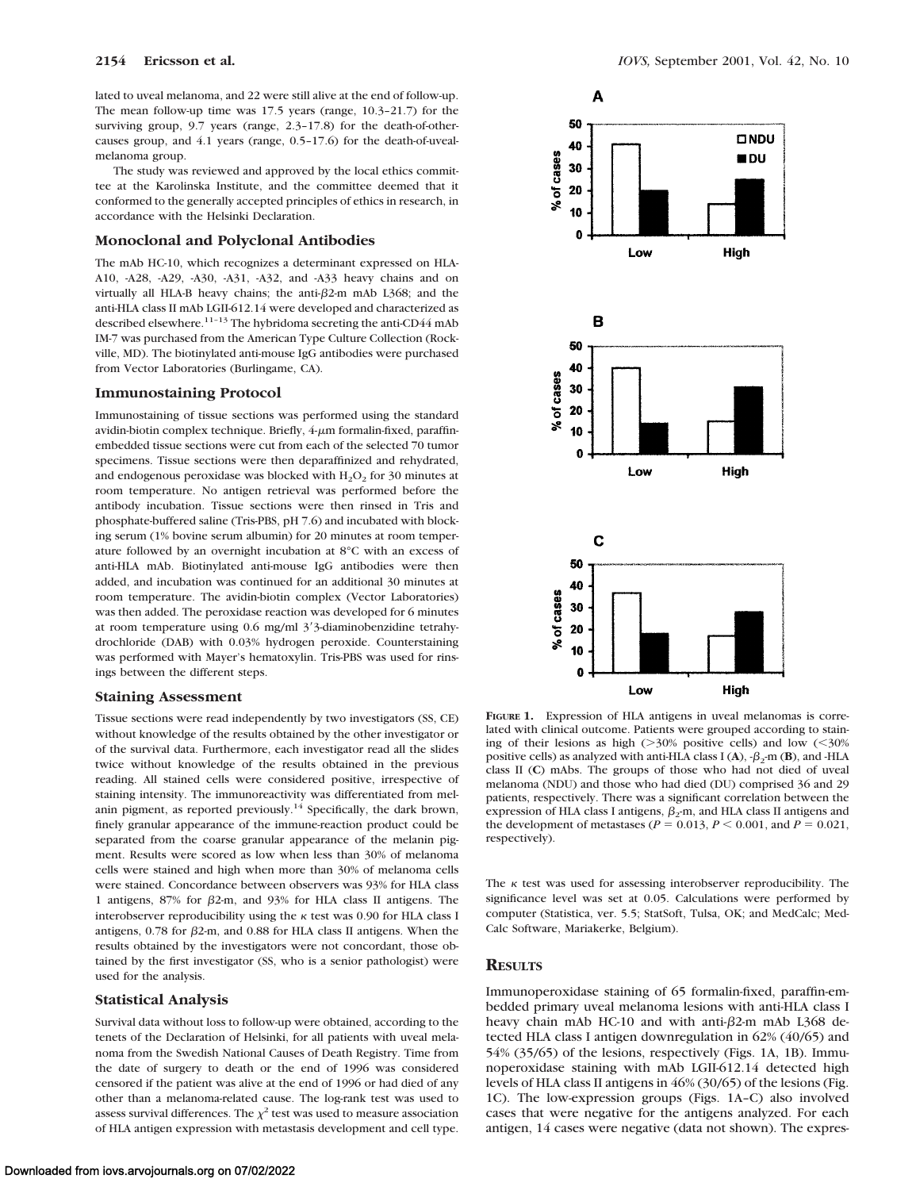lated to uveal melanoma, and 22 were still alive at the end of follow-up. The mean follow-up time was 17.5 years (range, 10.3–21.7) for the surviving group, 9.7 years (range, 2.3–17.8) for the death-of-othercauses group, and 4.1 years (range, 0.5–17.6) for the death-of-uvealmelanoma group.

The study was reviewed and approved by the local ethics committee at the Karolinska Institute, and the committee deemed that it conformed to the generally accepted principles of ethics in research, in accordance with the Helsinki Declaration.

#### **Monoclonal and Polyclonal Antibodies**

The mAb HC-10, which recognizes a determinant expressed on HLA-A10, -A28, -A29, -A30, -A31, -A32, and -A33 heavy chains and on virtually all HLA-B heavy chains; the anti- $\beta$ 2-m mAb L368; and the anti-HLA class II mAb LGII-612.14 were developed and characterized as described elsewhere.<sup>11-13</sup> The hybridoma secreting the anti-CD44 mAb IM-7 was purchased from the American Type Culture Collection (Rockville, MD). The biotinylated anti-mouse IgG antibodies were purchased from Vector Laboratories (Burlingame, CA).

#### **Immunostaining Protocol**

Immunostaining of tissue sections was performed using the standard avidin-biotin complex technique. Briefly,  $4\mu$ m formalin-fixed, paraffinembedded tissue sections were cut from each of the selected 70 tumor specimens. Tissue sections were then deparaffinized and rehydrated, and endogenous peroxidase was blocked with  $H_2O_2$  for 30 minutes at room temperature. No antigen retrieval was performed before the antibody incubation. Tissue sections were then rinsed in Tris and phosphate-buffered saline (Tris-PBS, pH 7.6) and incubated with blocking serum (1% bovine serum albumin) for 20 minutes at room temperature followed by an overnight incubation at 8°C with an excess of anti-HLA mAb. Biotinylated anti-mouse IgG antibodies were then added, and incubation was continued for an additional 30 minutes at room temperature. The avidin-biotin complex (Vector Laboratories) was then added. The peroxidase reaction was developed for 6 minutes at room temperature using  $0.6$  mg/ml  $3'3$ -diaminobenzidine tetrahydrochloride (DAB) with 0.03% hydrogen peroxide. Counterstaining was performed with Mayer's hematoxylin. Tris-PBS was used for rinsings between the different steps.

#### **Staining Assessment**

Tissue sections were read independently by two investigators (SS, CE) without knowledge of the results obtained by the other investigator or of the survival data. Furthermore, each investigator read all the slides twice without knowledge of the results obtained in the previous reading. All stained cells were considered positive, irrespective of staining intensity. The immunoreactivity was differentiated from melanin pigment, as reported previously.<sup>14</sup> Specifically, the dark brown, finely granular appearance of the immune-reaction product could be separated from the coarse granular appearance of the melanin pigment. Results were scored as low when less than 30% of melanoma cells were stained and high when more than 30% of melanoma cells were stained. Concordance between observers was 93% for HLA class 1 antigens, 87% for  $\beta$ 2-m, and 93% for HLA class II antigens. The interobserver reproducibility using the  $\kappa$  test was 0.90 for HLA class I antigens, 0.78 for  $\beta$ 2-m, and 0.88 for HLA class II antigens. When the results obtained by the investigators were not concordant, those obtained by the first investigator (SS, who is a senior pathologist) were used for the analysis.

#### **Statistical Analysis**

Survival data without loss to follow-up were obtained, according to the tenets of the Declaration of Helsinki, for all patients with uveal melanoma from the Swedish National Causes of Death Registry. Time from the date of surgery to death or the end of 1996 was considered censored if the patient was alive at the end of 1996 or had died of any other than a melanoma-related cause. The log-rank test was used to assess survival differences. The  $\chi^2$  test was used to measure association of HLA antigen expression with metastasis development and cell type.



**FIGURE 1.** Expression of HLA antigens in uveal melanomas is correlated with clinical outcome. Patients were grouped according to staining of their lesions as high  $(>\frac{30}{6}$  positive cells) and low  $(<\frac{30}{6}$ positive cells) as analyzed with anti-HLA class I (A),  $-\beta_2$ -m (B), and -HLA class II (**C**) mAbs. The groups of those who had not died of uveal melanoma (NDU) and those who had died (DU) comprised 36 and 29 patients, respectively. There was a significant correlation between the expression of HLA class I antigens,  $\beta_2$ -m, and HLA class II antigens and the development of metastases ( $P = 0.013, P \le 0.001,$  and  $P = 0.021,$ respectively).

The  $\kappa$  test was used for assessing interobserver reproducibility. The significance level was set at 0.05. Calculations were performed by computer (Statistica, ver. 5.5; StatSoft, Tulsa, OK; and MedCalc; Med-Calc Software, Mariakerke, Belgium).

## **RESULTS**

Immunoperoxidase staining of 65 formalin-fixed, paraffin-embedded primary uveal melanoma lesions with anti-HLA class I heavy chain mAb HC-10 and with anti- $\beta$ 2-m mAb L368 detected HLA class I antigen downregulation in 62% (40/65) and 54% (35/65) of the lesions, respectively (Figs. 1A, 1B). Immunoperoxidase staining with mAb LGII-612.14 detected high levels of HLA class II antigens in 46% (30/65) of the lesions (Fig. 1C). The low-expression groups (Figs. 1A–C) also involved cases that were negative for the antigens analyzed. For each antigen, 14 cases were negative (data not shown). The expres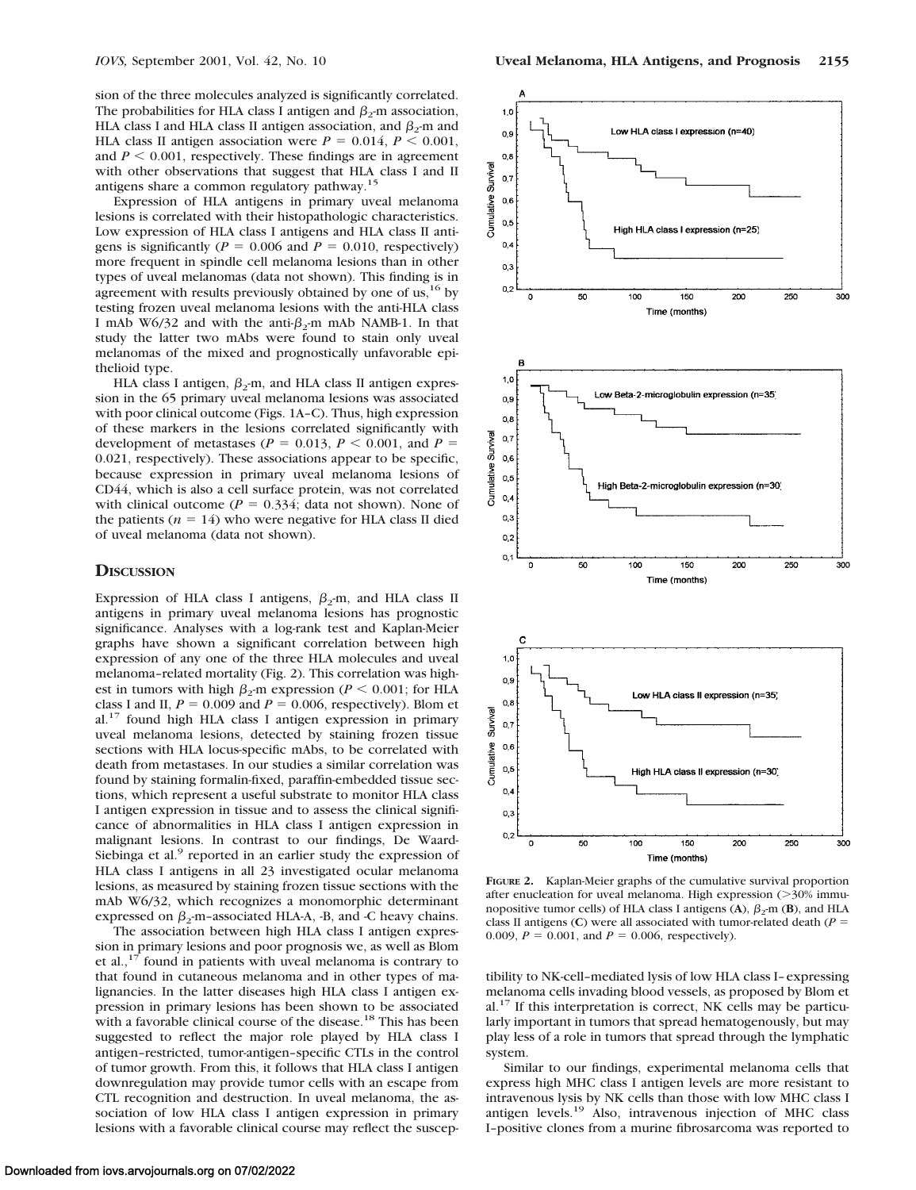sion of the three molecules analyzed is significantly correlated. The probabilities for HLA class I antigen and  $\beta_2$ -m association, HLA class I and HLA class II antigen association, and  $\beta_2$ -m and HLA class II antigen association were  $P = 0.014$ ,  $P \le 0.001$ , and  $P \le 0.001$ , respectively. These findings are in agreement with other observations that suggest that HLA class I and II antigens share a common regulatory pathway.<sup>1</sup>

Expression of HLA antigens in primary uveal melanoma lesions is correlated with their histopathologic characteristics. Low expression of HLA class I antigens and HLA class II antigens is significantly ( $P = 0.006$  and  $P = 0.010$ , respectively) more frequent in spindle cell melanoma lesions than in other types of uveal melanomas (data not shown). This finding is in agreement with results previously obtained by one of us, $^{16}$  by testing frozen uveal melanoma lesions with the anti-HLA class I mAb W6/32 and with the anti- $\beta_2$ -m mAb NAMB-1. In that study the latter two mAbs were found to stain only uveal melanomas of the mixed and prognostically unfavorable epithelioid type.

HLA class I antigen,  $\beta_2$ -m, and HLA class II antigen expression in the 65 primary uveal melanoma lesions was associated with poor clinical outcome (Figs. 1A–C). Thus, high expression of these markers in the lesions correlated significantly with development of metastases ( $P = 0.013$ ,  $P < 0.001$ , and  $P =$ 0.021, respectively). These associations appear to be specific, because expression in primary uveal melanoma lesions of CD44, which is also a cell surface protein, was not correlated with clinical outcome ( $P = 0.334$ ; data not shown). None of the patients  $(n = 14)$  who were negative for HLA class II died of uveal melanoma (data not shown).

#### **DISCUSSION**

Expression of HLA class I antigens,  $\beta_2$ -m, and HLA class II antigens in primary uveal melanoma lesions has prognostic significance. Analyses with a log-rank test and Kaplan-Meier graphs have shown a significant correlation between high expression of any one of the three HLA molecules and uveal melanoma–related mortality (Fig. 2). This correlation was highest in tumors with high  $\beta_2$ -m expression (*P* < 0.001; for HLA class I and II,  $P = 0.009$  and  $P = 0.006$ , respectively). Blom et al.<sup>17</sup> found high HLA class I antigen expression in primary uveal melanoma lesions, detected by staining frozen tissue sections with HLA locus-specific mAbs, to be correlated with death from metastases. In our studies a similar correlation was found by staining formalin-fixed, paraffin-embedded tissue sections, which represent a useful substrate to monitor HLA class I antigen expression in tissue and to assess the clinical significance of abnormalities in HLA class I antigen expression in malignant lesions. In contrast to our findings, De Waard-Siebinga et al.<sup>9</sup> reported in an earlier study the expression of HLA class I antigens in all 23 investigated ocular melanoma lesions, as measured by staining frozen tissue sections with the mAb W6/32, which recognizes a monomorphic determinant expressed on  $\beta_2$ -m-associated HLA-A, -B, and -C heavy chains.

The association between high HLA class I antigen expression in primary lesions and poor prognosis we, as well as Blom et al., $17$  found in patients with uveal melanoma is contrary to that found in cutaneous melanoma and in other types of malignancies. In the latter diseases high HLA class I antigen expression in primary lesions has been shown to be associated with a favorable clinical course of the disease.<sup>18</sup> This has been suggested to reflect the major role played by HLA class I antigen–restricted, tumor-antigen–specific CTLs in the control of tumor growth. From this, it follows that HLA class I antigen downregulation may provide tumor cells with an escape from CTL recognition and destruction. In uveal melanoma, the association of low HLA class I antigen expression in primary lesions with a favorable clinical course may reflect the suscep-



**FIGURE 2.** Kaplan-Meier graphs of the cumulative survival proportion after enucleation for uveal melanoma. High expression  $(>= 30\%$  immunopositive tumor cells) of HLA class I antigens  $(A)$ ,  $\beta_2$ -m  $(B)$ , and HLA class II antigens (C) were all associated with tumor-related death ( $P =$ 0.009,  $P = 0.001$ , and  $P = 0.006$ , respectively).

tibility to NK-cell–mediated lysis of low HLA class I–expressing melanoma cells invading blood vessels, as proposed by Blom et  $al.$ <sup>17</sup> If this interpretation is correct, NK cells may be particularly important in tumors that spread hematogenously, but may play less of a role in tumors that spread through the lymphatic system.

Similar to our findings, experimental melanoma cells that express high MHC class I antigen levels are more resistant to intravenous lysis by NK cells than those with low MHC class I antigen levels.19 Also, intravenous injection of MHC class I–positive clones from a murine fibrosarcoma was reported to